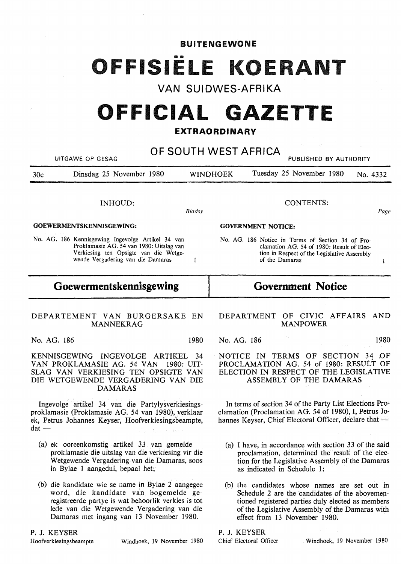BUITENGEWONE

# OFFISIËLE KOERANT

**VAN SUIDWES-AFRIKA** 

# **OFFICIAL GAZETTE**

# **EXTRAORDINARY**

| OF SOUTH WEST AFRICA<br>UITGAWE OP GESAG<br>PUBLISHED BY AUTHORITY                                                                                                                                      |                                                                                                                                                                                              |  |
|---------------------------------------------------------------------------------------------------------------------------------------------------------------------------------------------------------|----------------------------------------------------------------------------------------------------------------------------------------------------------------------------------------------|--|
| Dinsdag 25 November 1980<br>30 <sub>c</sub>                                                                                                                                                             | Tuesday 25 November 1980<br><b>WINDHOEK</b><br>No. 4332                                                                                                                                      |  |
| INHOUD:<br>Bladsy                                                                                                                                                                                       | <b>CONTENTS:</b><br>Page                                                                                                                                                                     |  |
| GOEWERMENTSKENNISGEWING:                                                                                                                                                                                | <b>GOVERNMENT NOTICE:</b>                                                                                                                                                                    |  |
| No. AG. 186 Kennisgewing Ingevolge Artikel 34 van<br>Proklamasie AG. 54 van 1980: Uitslag van<br>Verkiesing ten Opsigte van die Wetge-<br>wende Vergadering van die Damaras<br>$\mathbf{1}$             | No. AG. 186 Notice in Terms of Section 34 of Pro-<br>clamation AG. 54 of 1980: Result of Elec-<br>tion in Respect of the Legislative Assembly<br>of the Damaras                              |  |
| Goewermentskennisgewing                                                                                                                                                                                 | <b>Government Notice</b>                                                                                                                                                                     |  |
| DEPARTEMENT VAN BURGERSAKE EN<br><b>MANNEKRAG</b>                                                                                                                                                       | DEPARTMENT OF CIVIC AFFAIRS<br>AND<br><b>MANPOWER</b>                                                                                                                                        |  |
| No. AG. 186<br>1980                                                                                                                                                                                     | No. AG. 186<br>1980                                                                                                                                                                          |  |
| KENNISGEWING INGEVOLGE ARTIKEL<br>-34<br>VAN PROKLAMASIE AG. 54 VAN<br>1980: UIT-<br>SLAG VAN VERKIESING TEN OPSIGTE VAN<br>DIE WETGEWENDE VERGADERING VAN DIE<br><b>DAMARAS</b>                        | NOTICE IN TERMS OF SECTION 34 OF<br>PROCLAMATION AG. 54 of 1980: RESULT OF<br>ELECTION IN RESPECT OF THE LEGISLATIVE<br>ASSEMBLY OF THE DAMARAS                                              |  |
| Ingevolge artikel 34 van die Partylysverkiesings-<br>proklamasie (Proklamasie AG. 54 van 1980), verklaar<br>ek, Petrus Johannes Keyser, Hoofverkiesingsbeampte,<br>$dat$ —<br>a light display to device | In terms of section 34 of the Party List Elections Pro-<br>clamation (Proclamation AG. 54 of 1980), I, Petrus Jo-<br>hannes Keyser, Chief Electoral Officer, declare that -                  |  |
| (a) ek ooreenkomstig artikel 33 van gemelde<br>proklamasie die uitslag van die verkiesing vir die<br>Wetgewende Vergadering van die Damaras, soos<br>in Bylae 1 aangedui, bepaal het;                   | (a) I have, in accordance with section 33 of the said<br>proclamation, determined the result of the elec-<br>tion for the Legislative Assembly of the Damaras<br>as indicated in Schedule 1; |  |
| (b) die kandidate wie se name in Bylae 2 aangegee<br>word, die kandidate van bogemelde ge-<br>registreerde partye is wat behoorlik verkies is tot                                                       | (b) the candidates whose names are set out in<br>Schedule 2 are the candidates of the abovemen-<br>tioned registered parties duly elected as members                                         |  |

*P:* J. KEYSER

registreerde partye is wat behoorlik verkies is tot lede van die Wetgewende Vergadering van die Damaras met ingang van 13 November 1980.

tioned registered parties duly elected as members of the Legislative Assembly of the Damaras with effect from 13 November 1980.

**P. J. KEYSER** 

Chief Electoral Officer . Windhoek, 19 November 1980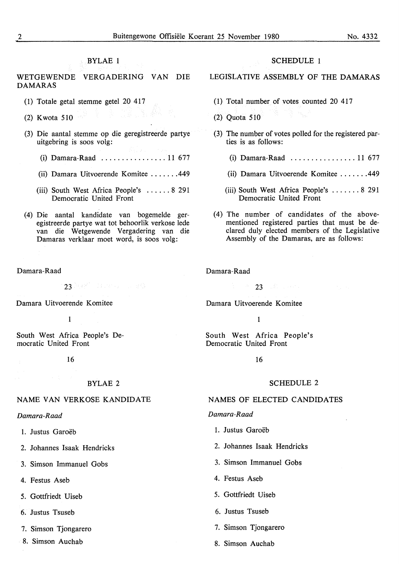# BYLAE 1

WETGEWENDE VERGADERING VAN DIE DAMARAS

- (1) Totale getal stemme getel 20 417
- (2) Kwota 510  $\frac{1}{2}$  Kwota 510  $\frac{1}{2}$
- (3) Die aantal stemme op die geregistreerde partye uitgebring is soos volg:
	- (i) Damara-Raad ................ 11 677
	- (ii) Damara Uitvoerende Komitee ....... 449
	- (iii) South West Africa People's ...... 8 291 Democratic United Front
- (4) Die aantal kandidate van bogemelde geregistreerde partye wat tot behoorlik verkose lede van die Wetgewende Vergadering van die Damaras verklaar moet word, is soos volg:

Damara-Raad

 $23$  MeV and the second sets

Damara Uitvoerende Komitee

1

South West Africa People's Democratic United Front

16

#### BYLAE 2

### NAME VAN VERKOSE KANDIDATE

#### *Damara-Raad*

- 1. Justus Garoëb
- 2. Johannes Isaak Hendricks
- 3. Simson Immanuel Gobs
- 4. Festus Aseb
- 5. Gottfriedt Uiseb
- 6. Justus Tsuseb
- 7. Simson Tjongarero
- 8. Simson Auchab

## SCHEDULE 1

# LEGISLATIVE ASSEMBLY OF THE DAMARAS

- (1) Total number of votes counted 20 417
- (2) Quota 510
- (3) The number of votes polled for the registered parties is as follows:
	- (i) Damara-Raad ................ 11 677
	- (ii) Damara Uitvoerende Komitee ....... 449
	- (iii) South West Africa People's ....... 8 291 Democratic United Front
- (4) The number of candidates of the abovementioned registered parties that must be declared duly elected members of the Legislative Assembly of the Damaras, are as follows:

Damara-Raad

23 March 2014

Damara Uitvoerende Komitee

1

South West Africa People's Democratic United Front

16

#### SCHEDULE 2

#### NAMES OF ELECTED CANDIDATES

#### *Damara-Raad*

- 1. Justus Garoëb
- 2. Johannes Isaak Hendricks
- 3. Simson Immanuel Gobs
- 4. Festus Aseb
- 5. Gottfriedt Uiseb
- 6. Justus Tsuseb
- 7. Simson Tjongarero
- 8. Simson Auchab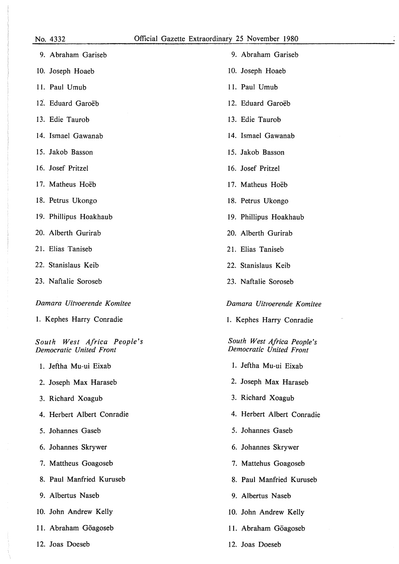| 9. Abraham Gariseb                                    |
|-------------------------------------------------------|
| 10. Joseph Hoaeb                                      |
| 11. Paul Umub                                         |
| 12. Eduard Garoëb                                     |
| 13. Edie Taurob                                       |
| 14. Ismael Gawanab                                    |
| 15. Jakob Basson                                      |
| 16. Josef Pritzel                                     |
| 17. Matheus Hoëb                                      |
| 18. Petrus Ukongo                                     |
| 19. Phillipus Hoakhaub                                |
| 20. Alberth Gurirab                                   |
| 21. Elias Taniseb                                     |
| 22. Stanislaus Keib                                   |
| 23. Naftalie Soroseb                                  |
| Damara Uitvoerende Komitee                            |
| 1. Kephes Harry Conradie                              |
| South West Africa People's<br>Democratic United Front |
| 1. Jeftha Mu-ui Eixab                                 |
| 2. Joseph Max Haraseb                                 |
| 3. Richard Xoagub                                     |
| 4. Herbert Albert Conradie                            |
| 5. Johannes Gaseb                                     |
| 6. Johannes Skrywer                                   |
| 7. Mattheus Goagoseb                                  |
| 8. Paul Manfried Kuruseb                              |
| 9. Albertus Naseb                                     |
| 10. John Andrew Kelly                                 |
| 11. Abraham Göagoseb                                  |

12. Joas Doeseb

- 9. Abraham Gariseb
- 10. Joseph Hoaeb
- 11. Paul Umub
- 12. Eduard Garoëb
- 13. Edie Taurob
- 14. Ismael Gawanab
- 15. Jakob Basson
- 16. Josef Pritzel
- 17. Matheus Hoëb
- 18. Petrus Ukongo
- 19. Phillipus Hoakhaub
- 20. Alberth Gurirab
- 21. Elias Taniseb
- 22. Stanislaus Keib
- 23. Naftalie Soroseb

## *Damara Uitvoerende Komitee*

1. Kephes Harry Conradie

*South West Africa People's Democratic United Front* 

- 1. Jeftha Mu-ui Eixab
- 2. Joseph Max Haraseb
- 3. Richard Xoagub
- 4. Herbert Albert Conradie
- 5. Johannes Gaseb
- 6. Johannes Skrywer
- 7. Mattehus Goagoseb
- 8. Paul Manfried Kuruseb
- 9. Albertus Naseb
- 10. John Andrew Kelly
- 11. Abraham Göagoseb
- 12. Joas Doeseb